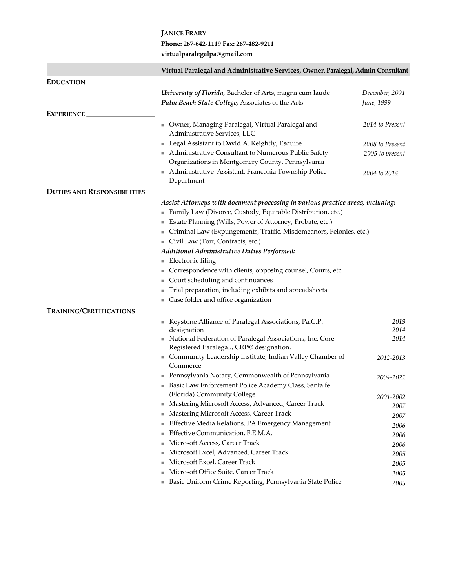## **JANICE FRARY Phone: 267-642-1119 Fax: 267-482-9211 virtualparalegalpa@gmail.com**

|                                    | Virtual Paralegal and Administrative Services, Owner, Paralegal, Admin Consultant                                                              |                 |
|------------------------------------|------------------------------------------------------------------------------------------------------------------------------------------------|-----------------|
| <b>EDUCATION</b>                   |                                                                                                                                                |                 |
|                                    | University of Florida, Bachelor of Arts, magna cum laude                                                                                       | December, 2001  |
|                                    | Palm Beach State College, Associates of the Arts                                                                                               | June, 1999      |
| <b>EXPERIENCE</b>                  |                                                                                                                                                |                 |
|                                    | Owner, Managing Paralegal, Virtual Paralegal and<br>Administrative Services, LLC                                                               | 2014 to Present |
|                                    | Legal Assistant to David A. Keightly, Esquire                                                                                                  | 2008 to Present |
|                                    | Administrative Consultant to Numerous Public Safety                                                                                            | 2005 to present |
|                                    | Organizations in Montgomery County, Pennsylvania                                                                                               |                 |
|                                    | Administrative Assistant, Franconia Township Police<br>Department                                                                              | 2004 to 2014    |
| <b>DUTIES AND RESPONSIBILITIES</b> |                                                                                                                                                |                 |
|                                    | Assist Attorneys with document processing in various practice areas, including:<br>Family Law (Divorce, Custody, Equitable Distribution, etc.) |                 |
|                                    | Estate Planning (Wills, Power of Attorney, Probate, etc.)                                                                                      |                 |
|                                    | Criminal Law (Expungements, Traffic, Misdemeanors, Felonies, etc.)                                                                             |                 |
|                                    | Civil Law (Tort, Contracts, etc.)                                                                                                              |                 |
|                                    | Additional Administrative Duties Performed:                                                                                                    |                 |
|                                    | Electronic filing                                                                                                                              |                 |
|                                    | Correspondence with clients, opposing counsel, Courts, etc.                                                                                    |                 |
|                                    | Court scheduling and continuances<br>ш                                                                                                         |                 |
|                                    | Trial preparation, including exhibits and spreadsheets                                                                                         |                 |
|                                    | Case folder and office organization                                                                                                            |                 |
| <b>TRAINING/CERTIFICATIONS</b>     |                                                                                                                                                |                 |
|                                    | Keystone Alliance of Paralegal Associations, Pa.C.P.                                                                                           | 2019            |
|                                    | designation                                                                                                                                    | 2014            |
|                                    | National Federation of Paralegal Associations, Inc. Core<br>Registered Paralegal., CRP <sup>©</sup> designation.                               | 2014            |
|                                    | Community Leadership Institute, Indian Valley Chamber of<br>٠<br>Commerce                                                                      | 2012-2013       |
|                                    | Pennsylvania Notary, Commonwealth of Pennsylvania                                                                                              | 2004-2021       |
|                                    | Basic Law Enforcement Police Academy Class, Santa fe                                                                                           |                 |
|                                    | (Florida) Community College                                                                                                                    | 2001-2002       |
|                                    | Mastering Microsoft Access, Advanced, Career Track                                                                                             | 2007            |
|                                    | Mastering Microsoft Access, Career Track                                                                                                       | 2007            |
|                                    | Effective Media Relations, PA Emergency Management                                                                                             | 2006            |
|                                    | Effective Communication, F.E.M.A.                                                                                                              | 2006            |
|                                    | Microsoft Access, Career Track                                                                                                                 | 2006            |
|                                    | Microsoft Excel, Advanced, Career Track                                                                                                        | 2005            |
|                                    | Microsoft Excel, Career Track                                                                                                                  | 2005            |
|                                    | Microsoft Office Suite, Career Track                                                                                                           | 2005            |
|                                    | Basic Uniform Crime Reporting, Pennsylvania State Police                                                                                       | 2005            |